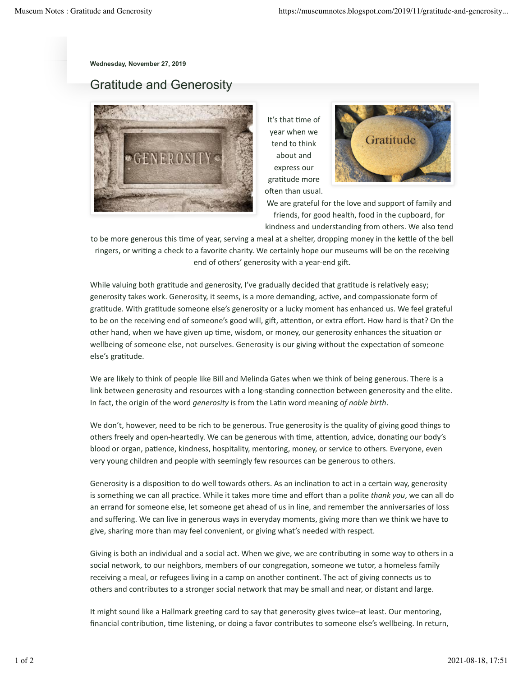**Wednesday, November 27, 2019**

## Gratitude and Generosity



It's that time of year when we tend to think about and express our gratitude more often than usual.



We are grateful for the love and support of family and friends, for good health, food in the cupboard, for

kindness and understanding from others. We also tend

to be more generous this time of year, serving a meal at a shelter, dropping money in the kettle of the bell ringers, or writing a check to a favorite charity. We certainly hope our museums will be on the receiving end of others' generosity with a year-end gift.

While valuing both gratitude and generosity, I've gradually decided that gratitude is relatively easy; generosity takes work. Generosity, it seems, is a more demanding, active, and compassionate form of gratitude. With gratitude someone else's generosity or a lucky moment has enhanced us. We feel grateful to be on the receiving end of someone's good will, gift, attention, or extra effort. How hard is that? On the other hand, when we have given up time, wisdom, or money, our generosity enhances the situation or wellbeing of someone else, not ourselves. Generosity is our giving without the expectation of someone else's gratitude.

We are likely to think of people like Bill and Melinda Gates when we think of being generous. There is a link between generosity and resources with a long-standing connection between generosity and the elite. In fact, the origin of the word *generosity* is from the Latin word meaning of noble birth.

We don't, however, need to be rich to be generous. True generosity is the quality of giving good things to others freely and open-heartedly. We can be generous with time, attention, advice, donating our body's blood or organ, patience, kindness, hospitality, mentoring, money, or service to others. Everyone, even very young children and people with seemingly few resources can be generous to others.

Generosity is a disposition to do well towards others. As an inclination to act in a certain way, generosity is something we can all practice. While it takes more time and effort than a polite *thank you*, we can all do an errand for someone else, let someone get ahead of us in line, and remember the anniversaries of loss and suffering. We can live in generous ways in everyday moments, giving more than we think we have to give, sharing more than may feel convenient, or giving what's needed with respect.

Giving is both an individual and a social act. When we give, we are contributing in some way to others in a social network, to our neighbors, members of our congregation, someone we tutor, a homeless family receiving a meal, or refugees living in a camp on another continent. The act of giving connects us to others and contributes to a stronger social network that may be small and near, or distant and large.

It might sound like a Hallmark greeting card to say that generosity gives twice–at least. Our mentoring, financial contribution, time listening, or doing a favor contributes to someone else's wellbeing. In return,